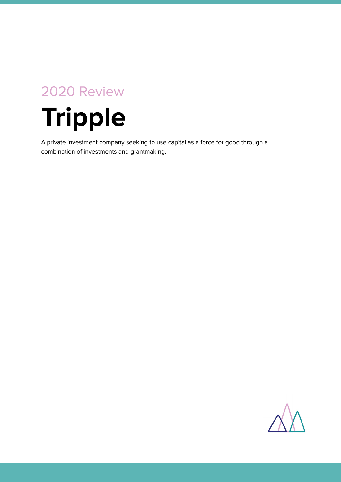# 2020 Review

# **Tripple**

A private investment company seeking to use capital as a force for good through a combination of investments and grantmaking.

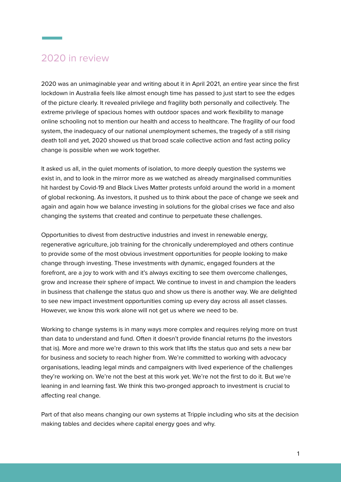## 2020 in review

2020 was an unimaginable year and writing about it in April 2021, an entire year since the first lockdown in Australia feels like almost enough time has passed to just start to see the edges of the picture clearly. It revealed privilege and fragility both personally and collectively. The extreme privilege of spacious homes with outdoor spaces and work flexibility to manage online schooling not to mention our health and access to healthcare. The fragility of our food system, the inadequacy of our national unemployment schemes, the tragedy of a still rising death toll and yet, 2020 showed us that broad scale collective action and fast acting policy change is possible when we work together.

It asked us all, in the quiet moments of isolation, to more deeply question the systems we exist in, and to look in the mirror more as we watched as already marginalised communities hit hardest by Covid-19 and Black Lives Matter protests unfold around the world in a moment of global reckoning. As investors, it pushed us to think about the pace of change we seek and again and again how we balance investing in solutions for the global crises we face and also changing the systems that created and continue to perpetuate these challenges.

Opportunities to divest from destructive industries and invest in renewable energy, regenerative agriculture, job training for the chronically underemployed and others continue to provide some of the most obvious investment opportunities for people looking to make change through investing. These investments with dynamic, engaged founders at the forefront, are a joy to work with and it's always exciting to see them overcome challenges, grow and increase their sphere of impact. We continue to invest in and champion the leaders in business that challenge the status quo and show us there is another way. We are delighted to see new impact investment opportunities coming up every day across all asset classes. However, we know this work alone will not get us where we need to be.

Working to change systems is in many ways more complex and requires relying more on trust than data to understand and fund. Often it doesn't provide financial returns (to the investors that is). More and more we're drawn to this work that lifts the status quo and sets a new bar for business and society to reach higher from. We're committed to working with advocacy organisations, leading legal minds and campaigners with lived experience of the challenges they're working on. We're not the best at this work yet. We're not the first to do it. But we're leaning in and learning fast. We think this two-pronged approach to investment is crucial to affecting real change.

Part of that also means changing our own systems at Tripple including who sits at the decision making tables and decides where capital energy goes and why.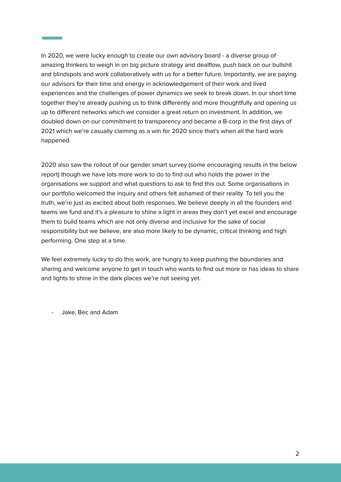In 2020, we were lucky enough to create our own advisory board - a diverse group of amazing thinkers to weigh in on big picture strategy and dealflow, push back on our bullshit and blindspots and work collaboratively with us for a better future. Importantly, we are paying our advisors for their time and energy in acknowledgement of their work and lived experiences and the challenges of power dynamics we seek to break down. In our short time together they're already pushing us to think differently and more thoughtfully and opening us up to different networks which we consider a great return on investment. In addition, we doubled down on our commitment to transparency and became a B-corp in the first days of 2021 which we're casually claiming as a win for 2020 since that's when all the hard work happened.

2020 also saw the rollout of our gender smart survey (some encouraging results in the below report) though we have lots more work to do to find out who holds the power in the organisations we support and what questions to ask to find this out. Some organisations in our portfolio welcomed the inquiry and others felt ashamed of their reality. To tell you the truth, we're just as excited about both responses. We believe deeply in all the founders and teams we fund and it's a pleasure to shine a light in areas they don't yet excel and encourage them to build teams which are not only diverse and inclusive for the sake of social responsibility but we believe, are also more likely to be dynamic, critical thinking and high performing. One step at a time.

We feel extremely lucky to do this work, are hungry to keep pushing the boundaries and sharing and welcome anyone to get in touch who wants to find out more or has ideas to share and lights to shine in the dark places we're not seeing yet.

- Jake, Bec and Adam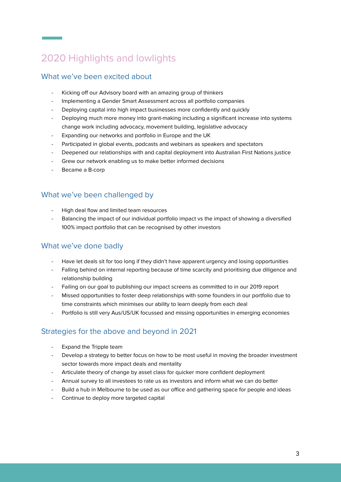## 2020 Highlights and lowlights

#### What we've been excited about

- Kicking off our Advisory board with an amazing group of thinkers
- Implementing a Gender Smart Assessment across all portfolio companies
- Deploying capital into high impact businesses more confidently and quickly
- Deploying much more money into grant-making including a significant increase into systems change work including advocacy, movement building, legislative advocacy
- Expanding our networks and portfolio in Europe and the UK
- Participated in global events, podcasts and webinars as speakers and spectators
- Deepened our relationships with and capital deployment into Australian First Nations justice
- Grew our network enabling us to make better informed decisions
- Became a B-corp

#### What we've been challenged by

- High deal flow and limited team resources
- Balancing the impact of our individual portfolio impact vs the impact of showing a diversified 100% impact portfolio that can be recognised by other investors

#### What we've done badly

- Have let deals sit for too long if they didn't have apparent urgency and losing opportunities
- Falling behind on internal reporting because of time scarcity and prioritising due diligence and relationship building
- Failing on our goal to publishing our impact screens as committed to in our 2019 report
- Missed opportunities to foster deep relationships with some founders in our portfolio due to time constraints which minimises our ability to learn deeply from each deal
- Portfolio is still very Aus/US/UK focussed and missing opportunities in emerging economies

#### Strategies for the above and beyond in 2021

- Expand the Tripple team
- Develop a strategy to better focus on how to be most useful in moving the broader investment sector towards more impact deals and mentality
- Articulate theory of change by asset class for quicker more confident deployment
- Annual survey to all investees to rate us as investors and inform what we can do better
- Build a hub in Melbourne to be used as our office and gathering space for people and ideas
- Continue to deploy more targeted capital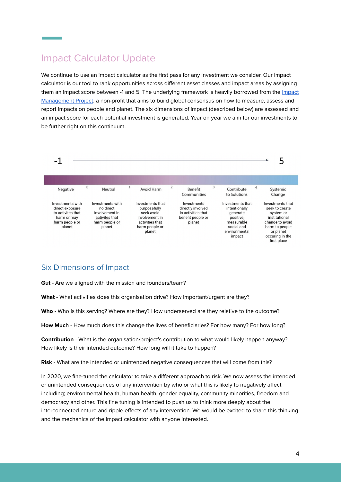## Impact Calculator Update

We continue to use an impact calculator as the first pass for any investment we consider. Our impact calculator is our tool to rank opportunities across different asset classes and impact areas by assigning them an impact score between -1 and 5. The underlying framework is heavily borrowed from the [Impact](https://impactmanagementproject.com/) [Management](https://impactmanagementproject.com/) Project, a non-profit that aims to build global consensus on how to measure, assess and report impacts on people and planet. The six dimensions of impact (described below) are assessed and an impact score for each potential investment is generated. Year on year we aim for our investments to be further right on this continuum.



#### Six Dimensions of Impact

**Gut** - Are we aligned with the mission and founders/team?

**What** - What activities does this organisation drive? How important/urgent are they?

**Who** - Who is this serving? Where are they? How underserved are they relative to the outcome?

**How Much** - How much does this change the lives of beneficiaries? For how many? For how long?

**Contribution** - What is the organisation/project's contribution to what would likely happen anyway? How likely is their intended outcome? How long will it take to happen?

**Risk** - What are the intended or unintended negative consequences that will come from this?

In 2020, we fine-tuned the calculator to take a different approach to risk. We now assess the intended or unintended consequences of any intervention by who or what this is likely to negatively affect including; environmental health, human health, gender equality, community minorities, freedom and democracy and other. This fine tuning is intended to push us to think more deeply about the interconnected nature and ripple effects of any intervention. We would be excited to share this thinking and the mechanics of the impact calculator with anyone interested.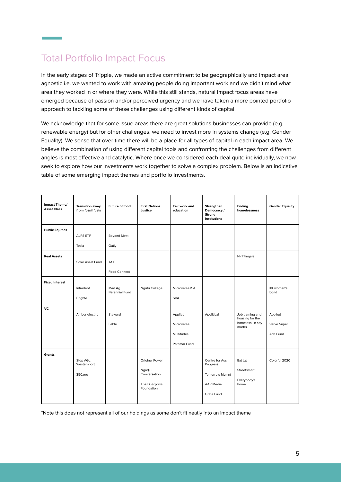## Total Portfolio Impact Focus

In the early stages of Tripple, we made an active commitment to be geographically and impact area agnostic i.e. we wanted to work with amazing people doing important work and we didn't mind what area they worked in or where they were. While this still stands, natural impact focus areas have emerged because of passion and/or perceived urgency and we have taken a more pointed portfolio approach to tackling some of these challenges using different kinds of capital.

We acknowledge that for some issue areas there are great solutions businesses can provide (e.g. renewable energy) but for other challenges, we need to invest more in systems change (e.g. Gender Equality). We sense that over time there will be a place for all types of capital in each impact area. We believe the combination of using different capital tools and confronting the challenges from different angles is most effective and catalytic. Where once we considered each deal quite individually, we now seek to explore how our investments work together to solve a complex problem. Below is an indicative table of some emerging impact themes and portfolio investments.

| Impact Theme/<br><b>Asset Class</b> | <b>Transition away</b><br>from fossil fuels | <b>Future of food</b>    | <b>First Nations</b><br>Justice                                        | Fair work and<br>education                          | Strengthen<br>Democracy /<br>Strong<br>institutions                            | Ending<br>homelessness                                           | <b>Gender Equality</b>             |
|-------------------------------------|---------------------------------------------|--------------------------|------------------------------------------------------------------------|-----------------------------------------------------|--------------------------------------------------------------------------------|------------------------------------------------------------------|------------------------------------|
| <b>Public Equities</b>              | <b>ALPS ETF</b><br>Tesla                    | Beyond Meat<br>Oatly     |                                                                        |                                                     |                                                                                |                                                                  |                                    |
| <b>Real Assets</b>                  | Solar Asset Fund                            | TAIF<br>Food Connect     |                                                                        |                                                     |                                                                                | Nightingale                                                      |                                    |
| <b>Fixed Interest</b>               | Infradebt<br>Brighte                        | Mad Ag<br>Perennial Fund | Ngutu College                                                          | Microverse ISA<br><b>SVA</b>                        |                                                                                |                                                                  | IIX women's<br>bond                |
| <b>VC</b>                           | Amber electric                              | Steward<br>Fable         |                                                                        | Applied<br>Microverse<br>Multitudes<br>Patamar Fund | Apolitical                                                                     | Job training and<br>housing for the<br>homeless (in spy<br>mode) | Applied<br>Verve Super<br>Ada Fund |
| <b>Grants</b>                       | Stop AGL<br>Westernport<br>350.org          |                          | Original Power<br>Ngadju<br>Conversation<br>The Dhadjowa<br>Foundation |                                                     | Centre for Aus<br>Progress<br><b>Tomorrow Mymnt</b><br>AAP Media<br>Grata Fund | Eat Up<br>Streetsmart<br>Everybody's<br>home                     | Colorful 2020                      |

\*Note this does not represent all of our holdings as some don't fit neatly into an impact theme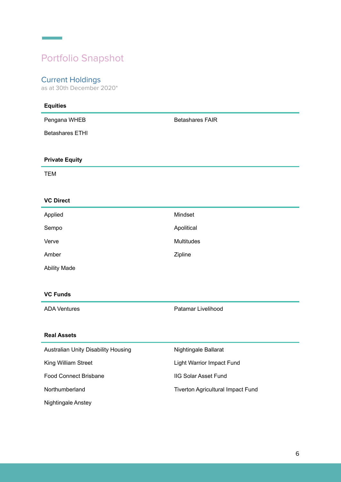## Portfolio Snapshot

#### Current Holdings

**Contract Contract** 

as at 30th December 2020\*

| <b>Equities</b>                     |                                   |  |  |
|-------------------------------------|-----------------------------------|--|--|
| Pengana WHEB                        | <b>Betashares FAIR</b>            |  |  |
| <b>Betashares ETHI</b>              |                                   |  |  |
|                                     |                                   |  |  |
| <b>Private Equity</b>               |                                   |  |  |
| <b>TEM</b>                          |                                   |  |  |
|                                     |                                   |  |  |
| <b>VC Direct</b>                    |                                   |  |  |
| Applied                             | Mindset                           |  |  |
| Sempo                               | Apolitical                        |  |  |
| Verve                               | <b>Multitudes</b>                 |  |  |
| Amber                               | Zipline                           |  |  |
| <b>Ability Made</b>                 |                                   |  |  |
|                                     |                                   |  |  |
| <b>VC Funds</b>                     |                                   |  |  |
| <b>ADA Ventures</b>                 | Patamar Livelihood                |  |  |
|                                     |                                   |  |  |
| <b>Real Assets</b>                  |                                   |  |  |
| Australian Unity Disability Housing | Nightingale Ballarat              |  |  |
| King William Street                 | Light Warrior Impact Fund         |  |  |
| Food Connect Brisbane               | <b>IIG Solar Asset Fund</b>       |  |  |
| Northumberland                      | Tiverton Agricultural Impact Fund |  |  |
| Nightingale Anstey                  |                                   |  |  |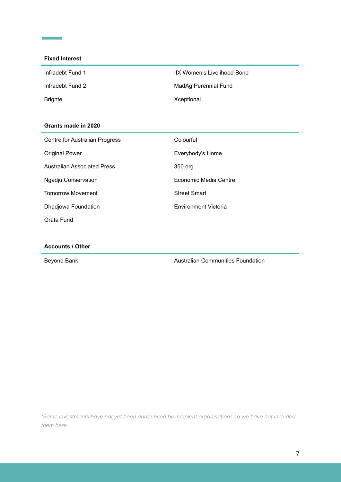#### **Fixed Interest**

**Contract Contract** 

| Infradebt Fund 1 | <b>IIX Women</b> |
|------------------|------------------|
| Infradebt Fund 2 | MadAg Per        |
| <b>Brighte</b>   | Xceptional       |

IIX Women's Livelihood Bond MadAg Perennial Fund

#### **Grants made in 2020**

| Centre for Australian Progress     | Colourful                   |
|------------------------------------|-----------------------------|
| <b>Original Power</b>              | Everybody's Home            |
| <b>Australian Associated Press</b> | 350.org                     |
| Ngadju Conservation                | Economic Media Centre       |
| <b>Tomorrow Movement</b>           | <b>Street Smart</b>         |
| Dhadjowa Foundation                | <b>Environment Victoria</b> |
| Grata Fund                         |                             |

#### **Accounts / Other**

Beyond Bank **Australian Communities Foundation** 

\*Some investments have not yet been announced by recipient organisations so we have not included them here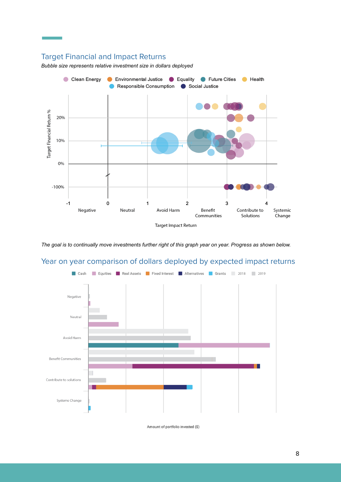### Target Financial and Impact Returns

*Bubble size represents relative investment size in dollars deployed*



*The goal is to continually move investments further right of this graph year on year. Progress as shown below.*

## Year on year comparison of dollars deployed by expected impact returns



Amount of portfolio invested (\$)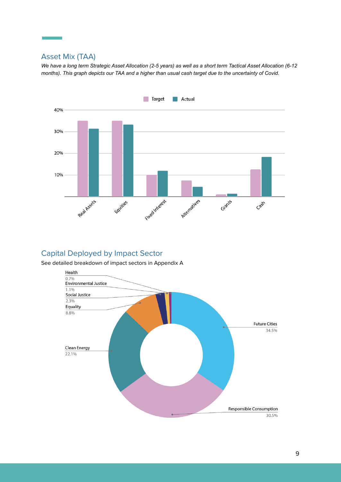#### Asset Mix (TAA)

*We have a long term Strategic Asset Allocation (2-5 years) as well as a short term Tactical Asset Allocation (6-12 months). This graph depicts our TAA and a higher than usual cash target due to the uncertainty of Covid.*



#### Capital Deployed by Impact Sector

See detailed breakdown of impact sectors in Appendix A

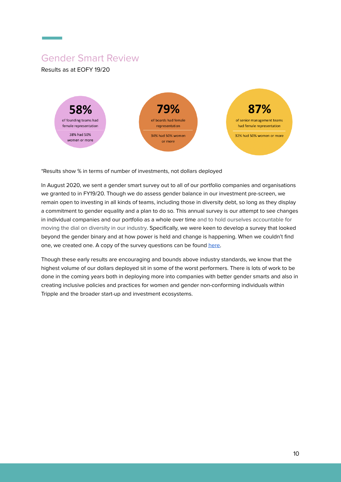## Gender Smart Review

Results as at EOFY 19/20



\*Results show % in terms of number of investments, not dollars deployed

In August 2020, we sent a gender smart survey out to all of our portfolio companies and organisations we granted to in FY19/20. Though we do assess gender balance in our investment pre-screen, we remain open to investing in all kinds of teams, including those in diversity debt, so long as they display a commitment to gender equality and a plan to do so. This annual survey is our attempt to see changes in individual companies and our portfolio as a whole over time and to hold ourselves accountable for moving the dial on diversity in our industry. Specifically, we were keen to develop a survey that looked beyond the gender binary and at how power is held and change is happening. When we couldn't find one, we created one. A copy of the survey questions can be found [here.](https://www.notion.so/Gender-Smart-Survey-6f1950a6708d467d952774fce52cc12b)

Though these early results are encouraging and bounds above industry standards, we know that the highest volume of our dollars deployed sit in some of the worst performers. There is lots of work to be done in the coming years both in deploying more into companies with better gender smarts and also in creating inclusive policies and practices for women and gender non-conforming individuals within Tripple and the broader start-up and investment ecosystems.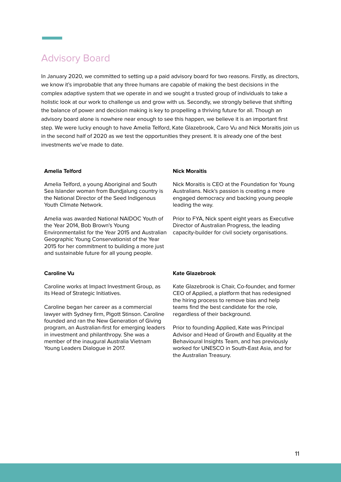## Advisory Board

In January 2020, we committed to setting up a paid advisory board for two reasons. Firstly, as directors, we know it's improbable that any three humans are capable of making the best decisions in the complex adaptive system that we operate in and we sought a trusted group of individuals to take a holistic look at our work to challenge us and grow with us. Secondly, we strongly believe that shifting the balance of power and decision making is key to propelling a thriving future for all. Though an advisory board alone is nowhere near enough to see this happen, we believe it is an important first step. We were lucky enough to have Amelia Telford, Kate Glazebrook, Caro Vu and Nick Moraitis join us in the second half of 2020 as we test the opportunities they present. It is already one of the best investments we've made to date.

#### **Amelia Telford Nick Moraitis**

Amelia Telford, a young Aboriginal and South Sea Islander woman from Bundjalung country is the National Director of the Seed Indigenous Youth Climate Network.

Amelia was awarded National NAIDOC Youth of the Year 2014, Bob Brown's Young Environmentalist for the Year 2015 and Australian Geographic Young Conservationist of the Year 2015 for her commitment to building a more just and sustainable future for all young people.

Caroline works at Impact Investment Group, as its Head of Strategic Initiatives.

Caroline began her career as a commercial lawyer with Sydney firm, Pigott Stinson. Caroline founded and ran the New Generation of Giving program, an Australian-first for emerging leaders in investment and philanthropy. She was a member of the inaugural Australia Vietnam Young Leaders Dialogue in 2017.

Nick Moraitis is CEO at the Foundation for Young Australians. Nick's passion is creating a more engaged democracy and backing young people leading the way.

Prior to FYA, Nick spent eight years as Executive Director of Australian Progress, the leading capacity-builder for civil society organisations.

#### **Caroline Vu Kate Glazebrook**

Kate Glazebrook is Chair, Co-founder, and former CEO of Applied, a platform that has redesigned the hiring process to remove bias and help teams find the best candidate for the role, regardless of their background.

Prior to founding Applied, Kate was Principal Advisor and Head of Growth and Equality at the Behavioural Insights Team, and has previously worked for UNESCO in South-East Asia, and for the Australian Treasury.